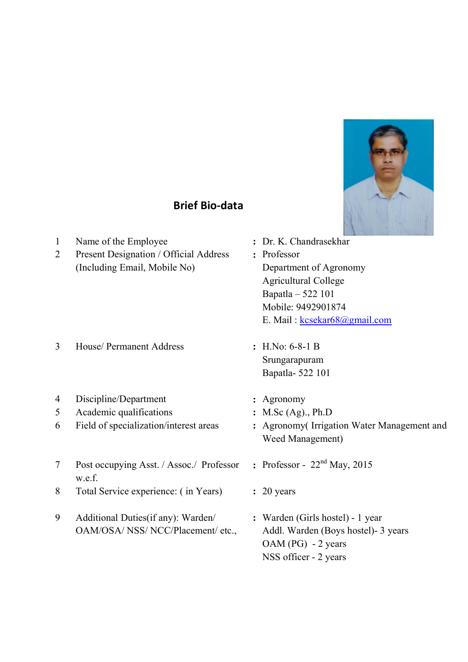

## Brief Bio-data

| $\mathbf{1}$<br>$\overline{2}$ | Name of the Employee<br>Present Designation / Official Address<br>(Including Email, Mobile No) | Dr. K. Chandrasekhar<br>Professor<br>Department of Agronomy<br><b>Agricultural College</b><br>Bapatla - 522 101<br>Mobile: 9492901874<br>E. Mail: kcsekar68@gmail.com |
|--------------------------------|------------------------------------------------------------------------------------------------|-----------------------------------------------------------------------------------------------------------------------------------------------------------------------|
| 3                              | House/ Permanent Address                                                                       | : H.No: $6-8-1$ B<br>Srungarapuram<br>Bapatla-522 101                                                                                                                 |
| 4<br>5<br>6                    | Discipline/Department<br>Academic qualifications<br>Field of specialization/interest areas     | Agronomy<br>: M.Sc $(Ag)$ ., Ph.D<br>Agronomy (Irrigation Water Management and<br>Weed Management)                                                                    |
| $\tau$<br>8                    | Post occupying Asst. / Assoc./ Professor<br>w.e.f.<br>Total Service experience: (in Years)     | : Professor - $22nd$ May, 2015<br>$: 20$ years                                                                                                                        |
| 9                              | Additional Duties (if any): Warden/<br>OAM/OSA/ NSS/ NCC/Placement/ etc.,                      | : Warden (Girls hostel) - 1 year<br>Addl. Warden (Boys hostel)- 3 years<br>OAM (PG) - 2 years<br>NSS officer - 2 years                                                |